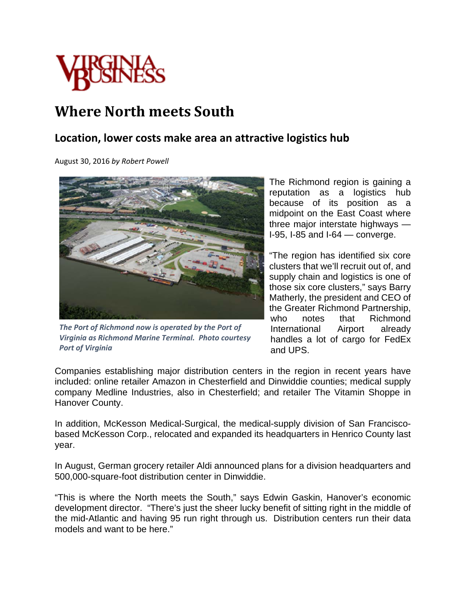

## **Where North meets South**

## **Location, lower costs make area an attractive logistics hub**

August 30, 2016 *by Robert Powell*



*The Port of Richmond now is operated by the Port of Virginia as Richmond Marine Terminal. Photo courtesy Port of Virginia*

The Richmond region is gaining a reputation as a logistics hub because of its position as a midpoint on the East Coast where three major interstate highways — I-95, I-85 and I-64 — converge.

"The region has identified six core clusters that we'll recruit out of, and supply chain and logistics is one of those six core clusters," says Barry Matherly, the president and CEO of the Greater Richmond Partnership, who notes that Richmond International Airport already handles a lot of cargo for FedEx and UPS.

Companies establishing major distribution centers in the region in recent years have included: online retailer Amazon in Chesterfield and Dinwiddie counties; medical supply company Medline Industries, also in Chesterfield; and retailer The Vitamin Shoppe in Hanover County.

In addition, McKesson Medical-Surgical, the medical-supply division of San Franciscobased McKesson Corp., relocated and expanded its headquarters in Henrico County last year.

In August, German grocery retailer Aldi announced plans for a division headquarters and 500,000-square-foot distribution center in Dinwiddie.

"This is where the North meets the South," says Edwin Gaskin, Hanover's economic development director. "There's just the sheer lucky benefit of sitting right in the middle of the mid-Atlantic and having 95 run right through us. Distribution centers run their data models and want to be here."